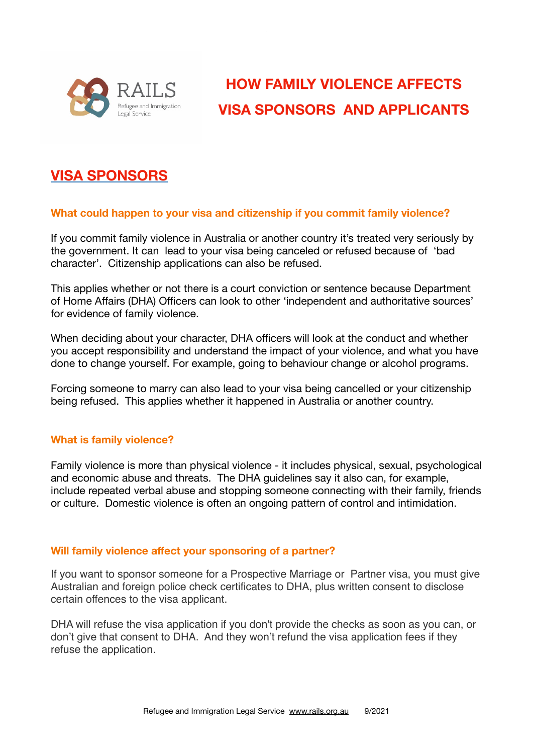

# **HOW FAMILY VIOLENCE AFFECTS VISA SPONSORS AND APPLICANTS**

# **VISA SPONSORS**

# **What could happen to your visa and citizenship if you commit family violence?**

If you commit family violence in Australia or another country it's treated very seriously by the government. It can lead to your visa being canceled or refused because of 'bad character'. Citizenship applications can also be refused.

This applies whether or not there is a court conviction or sentence because Department of Home Affairs (DHA) Officers can look to other 'independent and authoritative sources' for evidence of family violence.

When deciding about your character, DHA officers will look at the conduct and whether you accept responsibility and understand the impact of your violence, and what you have done to change yourself. For example, going to behaviour change or alcohol programs.

Forcing someone to marry can also lead to your visa being cancelled or your citizenship being refused. This applies whether it happened in Australia or another country.

### **What is family violence?**

Family violence is more than physical violence - it includes physical, sexual, psychological and economic abuse and threats. The DHA guidelines say it also can, for example, include repeated verbal abuse and stopping someone connecting with their family, friends or culture. Domestic violence is often an ongoing pattern of control and intimidation.

### **Will family violence affect your sponsoring of a partner?**

If you want to sponsor someone for a Prospective Marriage or Partner visa, you must give Australian and foreign police check certificates to DHA, plus written consent to disclose certain offences to the visa applicant.

DHA will refuse the visa application if you don't provide the checks as soon as you can, or don't give that consent to DHA. And they won't refund the visa application fees if they refuse the application.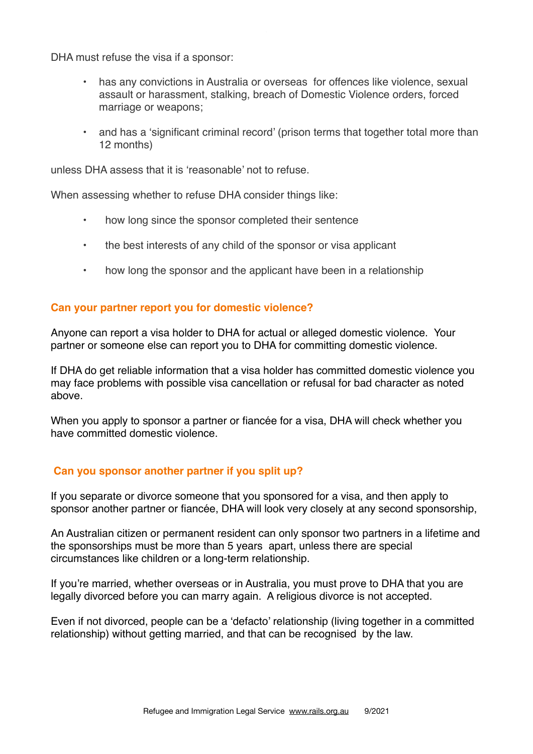DHA must refuse the visa if a sponsor:

- has any convictions in Australia or overseas for offences like violence, sexual assault or harassment, stalking, breach of Domestic Violence orders, forced marriage or weapons;
- and has a 'significant criminal record' (prison terms that together total more than 12 months)

unless DHA assess that it is 'reasonable' not to refuse.

When assessing whether to refuse DHA consider things like:

- how long since the sponsor completed their sentence
- the best interests of any child of the sponsor or visa applicant
- how long the sponsor and the applicant have been in a relationship

# **Can your partner report you for domestic violence?**

Anyone can report a visa holder to DHA for actual or alleged domestic violence. Your partner or someone else can report you to DHA for committing domestic violence.

If DHA do get reliable information that a visa holder has committed domestic violence you may face problems with possible visa cancellation or refusal for bad character as noted above.

When you apply to sponsor a partner or fiancée for a visa, DHA will check whether you have committed domestic violence.

### **Can you sponsor another partner if you split up?**

If you separate or divorce someone that you sponsored for a visa, and then apply to sponsor another partner or fiancée, DHA will look very closely at any second sponsorship,

An Australian citizen or permanent resident can only sponsor two partners in a lifetime and the sponsorships must be more than 5 years apart, unless there are special circumstances like children or a long-term relationship.

If you're married, whether overseas or in Australia, you must prove to DHA that you are legally divorced before you can marry again. A religious divorce is not accepted.

Even if not divorced, people can be a 'defacto' relationship (living together in a committed relationship) without getting married, and that can be recognised by the law.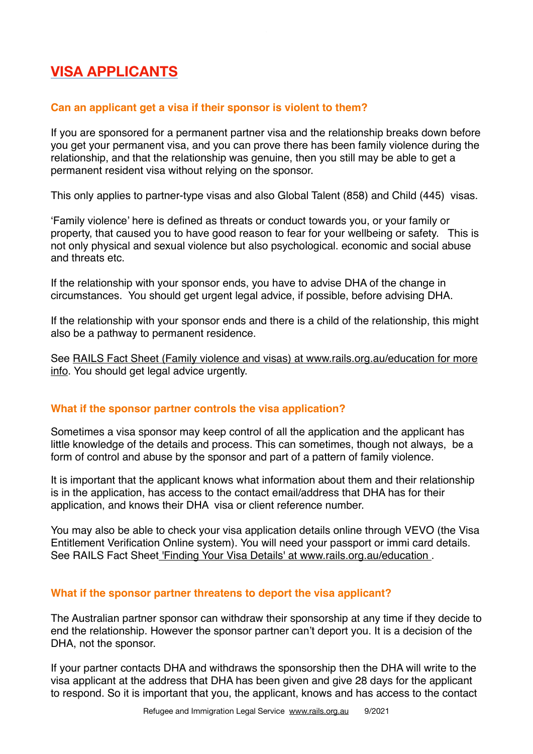# **VISA APPLICANTS**

# **Can an applicant get a visa if their sponsor is violent to them?**

If you are sponsored for a permanent partner visa and the relationship breaks down before you get your permanent visa, and you can prove there has been family violence during the relationship, and that the relationship was genuine, then you still may be able to get a permanent resident visa without relying on the sponsor.

This only applies to partner-type visas and also Global Talent (858) and Child (445) visas.

'Family violence' here is defined as threats or conduct towards you, or your family or property, that caused you to have good reason to fear for your wellbeing or safety. This is not only physical and sexual violence but also psychological. economic and social abuse and threats etc.

If the relationship with your sponsor ends, you have to advise DHA of the change in circumstances. You should get urgent legal advice, if possible, before advising DHA.

If the relationship with your sponsor ends and there is a child of the relationship, this might also be a pathway to permanent residence.

See [RAILS Fact Sheet \(Family violence and visas\) at www.rails.org.au/education for more](https://www.rails.org.au/sites/default/files/2021-05/FV%20and%20Visas%20Fact%20Sheet-21May2021.pdf)  [info](https://www.rails.org.au/sites/default/files/2021-05/FV%20and%20Visas%20Fact%20Sheet-21May2021.pdf). You should get legal advice urgently.

# **What if the sponsor partner controls the visa application?**

Sometimes a visa sponsor may keep control of all the application and the applicant has little knowledge of the details and process. This can sometimes, though not always, be a form of control and abuse by the sponsor and part of a pattern of family violence.

It is important that the applicant knows what information about them and their relationship is in the application, has access to the contact email/address that DHA has for their application, and knows their DHA visa or client reference number.

You may also be able to check your visa application details online through VEVO (the Visa Entitlement Verification Online system). You will need your passport or immi card details. See RAILS Fact Shee[t 'Finding Your Visa Details' at www.rails.org.au/education .](https://www.rails.org.au/sites/default/files/2021-03/VEVO%20Fact%20Sheet-10%20March%202021.pdf)

# **What if the sponsor partner threatens to deport the visa applicant?**

The Australian partner sponsor can withdraw their sponsorship at any time if they decide to end the relationship. However the sponsor partner can't deport you. It is a decision of the DHA, not the sponsor.

If your partner contacts DHA and withdraws the sponsorship then the DHA will write to the visa applicant at the address that DHA has been given and give 28 days for the applicant to respond. So it is important that you, the applicant, knows and has access to the contact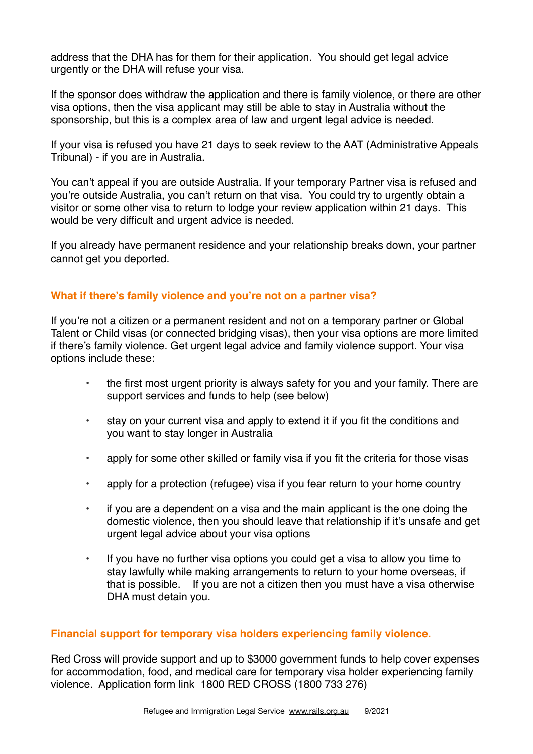address that the DHA has for them for their application. You should get legal advice urgently or the DHA will refuse your visa.

If the sponsor does withdraw the application and there is family violence, or there are other visa options, then the visa applicant may still be able to stay in Australia without the sponsorship, but this is a complex area of law and urgent legal advice is needed.

If your visa is refused you have 21 days to seek review to the AAT (Administrative Appeals Tribunal) - if you are in Australia.

You can't appeal if you are outside Australia. If your temporary Partner visa is refused and you're outside Australia, you can't return on that visa. You could try to urgently obtain a visitor or some other visa to return to lodge your review application within 21 days. This would be very difficult and urgent advice is needed.

If you already have permanent residence and your relationship breaks down, your partner cannot get you deported.

### **What if there's family violence and you're not on a partner visa?**

If you're not a citizen or a permanent resident and not on a temporary partner or Global Talent or Child visas (or connected bridging visas), then your visa options are more limited if there's family violence. Get urgent legal advice and family violence support. Your visa options include these:

- the first most urgent priority is always safety for you and your family. There are support services and funds to help (see below)
- stay on your current visa and apply to extend it if you fit the conditions and you want to stay longer in Australia
- apply for some other skilled or family visa if you fit the criteria for those visas
- apply for a protection (refugee) visa if you fear return to your home country
- if you are a dependent on a visa and the main applicant is the one doing the domestic violence, then you should leave that relationship if it's unsafe and get urgent legal advice about your visa options
- If you have no further visa options you could get a visa to allow you time to stay lawfully while making arrangements to return to your home overseas, if that is possible. If you are not a citizen then you must have a visa otherwise DHA must detain you.

### **Financial support for temporary visa holders experiencing family violence.**

Red Cross will provide support and up to \$3000 government funds to help cover expenses for accommodation, food, and medical care for temporary visa holder experiencing family violence. [Application form link](https://www.redcross.org.au/get-help/help-for-migrants-in-transition/family-and-domestic-violence-financial-assistance) 1800 RED CROSS (1800 733 276)